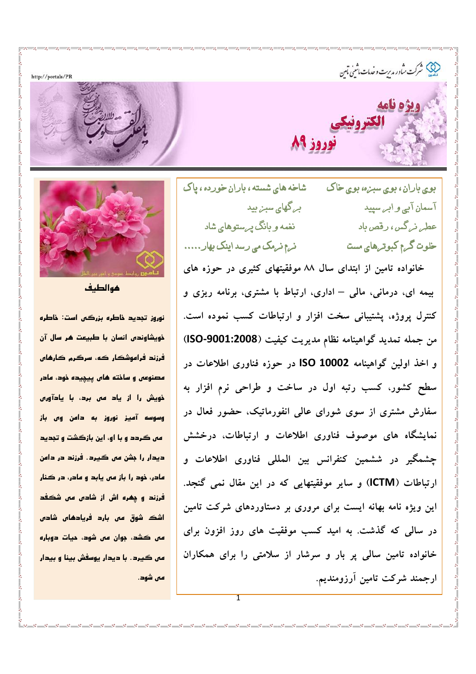http://portals/PR

ن<br>پیچ شرکت ساور م*دی*ت و خدمات ماشین ماس

شاخه های شسته ، باران خورده ، یاک بوي باران، بوي سبزه، بوي خاک بے گھای سبز پید آسمان آبے و ابے سیید نغمه و بانگ به ستوهای شاد عطے نے گس ، رقص باد نے نے فرمک می رسد اینک بھار..... خلوت گ*ے*م کبوتےهای مست

خانواده تامین از ابتدای سال ۸۸ موفقیتهای کثیری در حوزه های بیمه ای، درمانی، مالی – اداری، ارتباط با مشتری، برنامه ریزی و کنترل پروژه، پشتیبانی سخت افزار و ارتباطات کسب نموده است. من جمله تمديد گواهينامه نظام مديريت كيفيت (ISO-9001:2008) و اخذ اولین گواهینامه ISO 10002 در حوزه فناوری اطلاعات در سطح کشور، کسب رتبه اول در ساخت و طراحی نرم افزار به سفارش مشتری از سوی شورای عالی انفورماتیک، حضور فعال در نمایشگاه های موصوف فناوری اطلاعات و ارتباطات، درخشش چشمگیر در ششمین کنفرانس بین المللی فناوری اطلاعات و ارتباطات (ICTM) و سایر موفقیتهایی که در این مقال نمی گنجد. این ویژه نامه بهانه ایست برای مروری بر دستاوردهای شرکت تامین در سالی که گذشت. به امید کسب موفقیت های روز افزون برای خانواده تامین سالی پر بار و سرشار از سلامتی را برای همکاران ارجمند شرکت تامین آرزومندیم.



هوا لطيف

نوروز تحدید خاطره بزرگی است: خاطره خویشاوندی انسان با طبیعت هر سال آن فرزند فراموشکار که، سرگرم کارهای .<br>مصنوعی و ساخته های پیچیده خود، مادر .<br>نویش را از یاد *من برد*، با یادآور*ن* وسوسه آمیز نوروز به دامن وس باز من گردد و با او، این بازگشت و تجدید ديدار را جشن من ڪيرد. فرزند در دامن مادر، خود را باز می بابد و مادر، در کنار .<br>فرزند و چ*غره* اش از شادس *من* شکفد اشک شوق می بارد فریادهای شادی قش ڪشد، جوان قش شود، جيات دوباره هن گیرد. با دیدار یوسفش بینا و بیدار قى شەھ.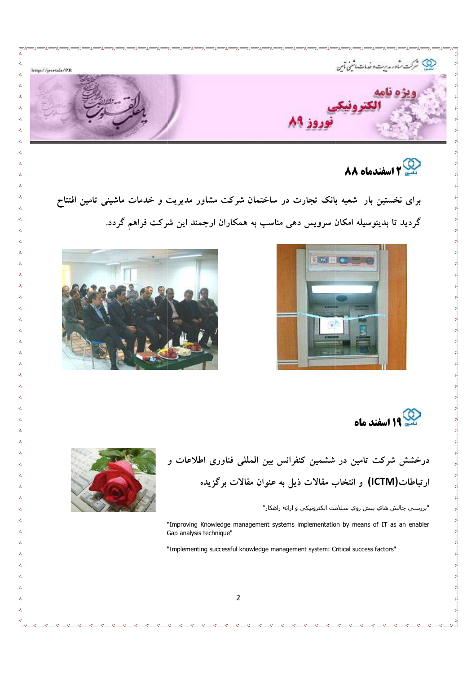

## **82 اسفندماه 88**

برای نخستین بار شعبه بانک تجارت در ساختمان شرکت مشاور مدیریت و خدمات ماشینی تامین افتتاح گردید تا بدینوسیله امکان سرویس دهی مناسب به همکاران ارجمند این شرکت فراهم گردد.





 $\frac{1}{20}$ ļ

 $\frac{8}{10}$ 

 $-20 - 20$ 

 $\frac{1}{20}$  –  $\frac{1}{20}$ 

 $-20 - 2$ 

 $\frac{5}{20}$ 

**19 اسفند ماه** 

درخشش شرکت تامین در ششمین کنفرانس بین المللی فناوری اطلاعات و ارتباطات(ICTM) و انتخاب مقالات ذیل به عنوان مقالات برگزیده



"بررسـي چالش هاي پيش روي سـلامت الكترونيكي و ارائه راهكار"

"Improving Knowledge management systems implementation by means of IT as an enabler G Gap analysis technique"

"Implementing successful knowledge management system: Critical success factors"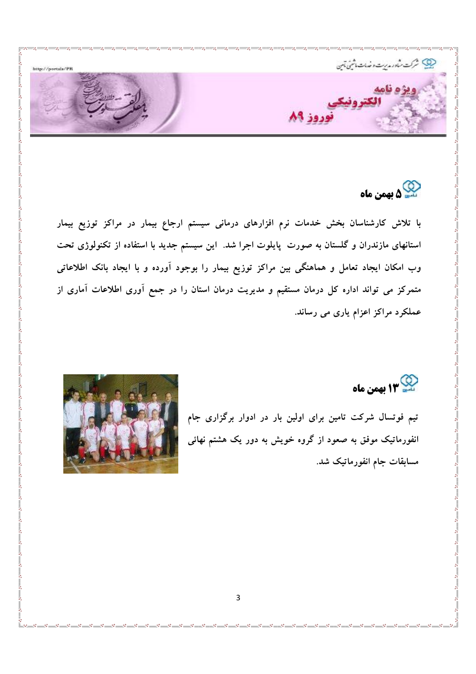

ے<br>سے ۵ بهمن ماہ

با تلاش کارشناسان بخش خدمات نرم افزارهای درمانی سیستم ارجاع بیمار در مراکز توزیع بیمار استانهای مازندران و گلستان به صورت پایلوت اجرا شد. این سیستم جدید با استفاده از تکنولوژی تحت وب امکان ایجاد تعامل و هماهنگی بین مراکز توزیع بیمار را بوجود آورده و با ایجاد بانک اطلاعاتی متمرکز می تواند اداره کل درمان مستقیم و مدیریت درمان استان را در جمع آوری اطلاعات آماری از عملکرد مراکز اعزام یاری می رساند.

م<br>13 M بهمن ماه

تیم فوتسال شرکت تامین برای اولین بار در ادوار برگزاری جام انفورماتیک موفق به صعود از گروه خویش به دور یک هشتم نهائی مسابقات جام انفورماتیک شد.

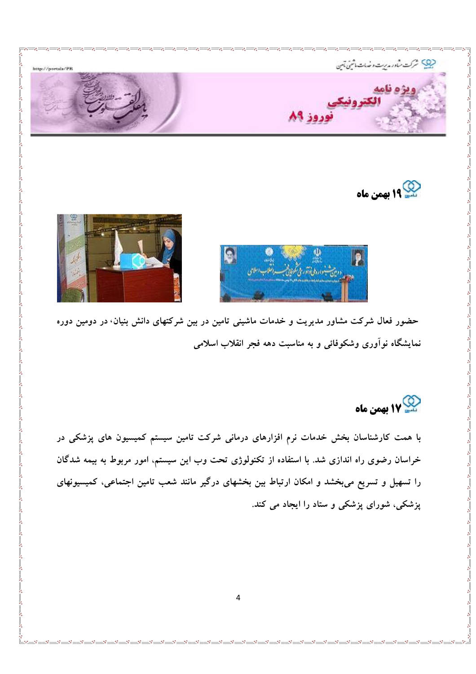





حضور فعال شرکت مشاور مدیریت و خدمات ماشینی تامین در بین شرکتهای دانش بنیان، در دومین دوره نمایشگاه نوآوری وشکوفائی و به مناسبت دهه فجر انقلاب اسلامی

کیے<br>17 بهمن ماه

با همت کارشناسان بخش خدمات نرم افزارهای درمانی شرکت تامین سیستم کمیسیون های پزشکی در خراسان رضوی راه اندازی شد. با استفاده از تکنولوژی تحت وب این سیستم، امور مربوط به بیمه شدگان را تسهیل و تسریع میبخشد و امکان ارتباط بین بخشهای درگیر مانند شعب تامین اجتماعی، کمیسیونهای پزشکی، شورای پزشکی و ستاد را ایجاد می کند.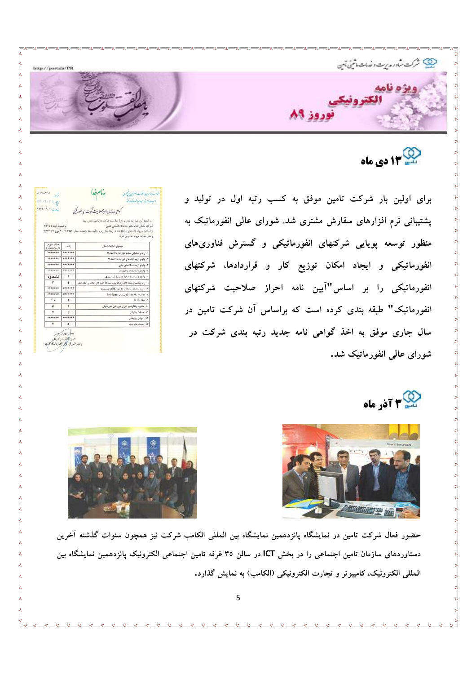

## ۹۳ دی ماه

برای اولین بار شرکت تامین موفق به کسب رتبه اول در تولید و پشتیبانی نرم افزارهای سفارش مشتری شد. شورای عالی انفورماتیک به منظور توسعه پویایی شرکتهای انفورماتیکی و گسترش فناوریهای انفورماتیکی و ایجاد امکان توزیع کار و قراردادها، شرکتهای انفورماتیکی را بر اساس"آیین نامه احراز صلاحیت شرکتهای انفورماتیک" طبقه بندی کرده است که براساس آن شرکت تامین در سال جاری موفق به اخذ گواهی نامه جدید رتبه بندی شرکت در شورای عالم انفورماتیک شد.

| <b>MAR-AR-ARCHIVE</b>                |         | ى يتهندى داموزصلات يشرت اي الغور بيجى                                                                                                                                                                                                                                 |
|--------------------------------------|---------|-----------------------------------------------------------------------------------------------------------------------------------------------------------------------------------------------------------------------------------------------------------------------|
| با شماره تست ٨٩٢٤٦                   |         | به استاد آیین نامه رتبه بندی و آخراز صلاحیت شرکت های الفورمالیکی، رتبه<br>شركت مشاور مديريت وخدمات ماشينى للمين<br>برای اجرای بروژه های فناوری آنقلاعات در زمینه های زیر با رعایت مقاد بخشنامه شماره ۱۳۵۵۶-۱/۱۰۲۵ مورخ ۱۳۸۷/۱۱/۷<br>و سایر ملورات مربوط اعلام می شود: |
| A Big all on<br>Literatural al Julie | ولماه   | موضوع فعاليت اصلى                                                                                                                                                                                                                                                     |
| *******                              | ******* | Main Frame إنه و يشتيباني سخت افزار Main Frame                                                                                                                                                                                                                        |
| *******                              | ******* | ۲- تولید و ترایه رایانه های غیر Main Frame                                                                                                                                                                                                                            |
| *******                              | ******* | ۴- تولید و ارایه دستگاه های جانبی                                                                                                                                                                                                                                     |
| *******                              | ******* | 6- تولید و ارایه العلمات و ملزومات                                                                                                                                                                                                                                    |
| نامدو د                              | ١       | ه - تولید و پشتیبانی نرم افزارهای سفارش مشتری                                                                                                                                                                                                                         |
| ۳                                    | £       | ٦- ارايه ويشليباني بسته هاي ترم افزاري وبسته ها وقابل هاي اطلاعاتي توليدها فل                                                                                                                                                                                         |
| *******                              | ******* | ۷- ارایه و پشتیبانی نوم افزار خارجی (SE) و سیستم ها                                                                                                                                                                                                                   |
| *******                              | ******* | A اختصات شبکه های اطلاع رسالی Providers                                                                                                                                                                                                                               |
| ٢.                                   | ٧       | A sala dia 1                                                                                                                                                                                                                                                          |
| $\circ$                              | i       | -۱- مشاوره و نظارت بر اجرای طرح های انفورهاتیکی                                                                                                                                                                                                                       |
| v                                    | ٤       | 11 - خدمات پشتیبانی                                                                                                                                                                                                                                                   |
| *******                              | ******* | ۱۴-امپزش و بزوفتی                                                                                                                                                                                                                                                     |
| ۲                                    | ٥       | this player - IT                                                                                                                                                                                                                                                      |

## 7 Fé<sub>l</sub> ماه





حضور فعال شركت تامين در نمايشگاه پانزدهمين نمايشگاه بين المللي الكامب شركت نيز همچون سنوات گذشته آخرين دستاوردهای سازمان تامین اجتماعی را در بخش ICT در سالن ۳۵ غرفه تامین اجتماعی الکترونیک پانزدهمین نمایشگاه بین المللي الكترونيك، كامپيوتر و تجارت الكترونيكي (الكامب) به نمايش گذارد.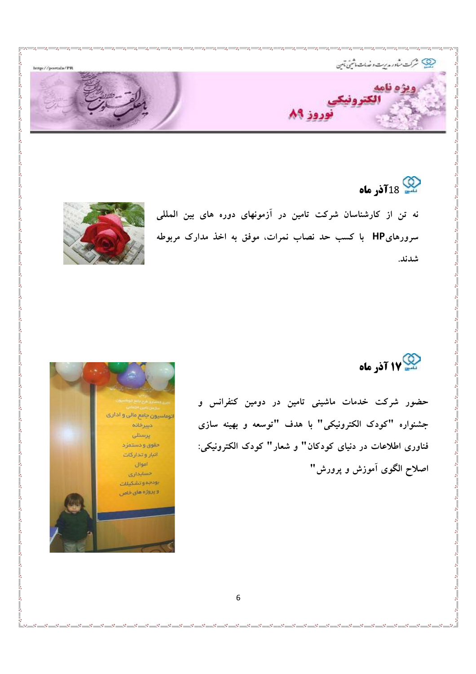

22 18**0 نور ماه** 

نه تن از کارشناسان شرکت تامین در آزمونهای دوره های بین المللی سرورهایHP با کسب حد نصاب نمرات، موفق به اخذ مدارک مربوطه شدند.



 $\overline{\phantom{0}}$ ļ

717 آذر ماه

حضور شرکت خدمات ماشینی تامین در دومین کنفرانس و جشنواره "كودك الكترونيكي" با هدف "توسعه و بهينه سازى فناوری اطلاعات در دنیای کودکان" و شعار" کودک الکترونیکی: اصلاح الگوی آموزش و پرورش"

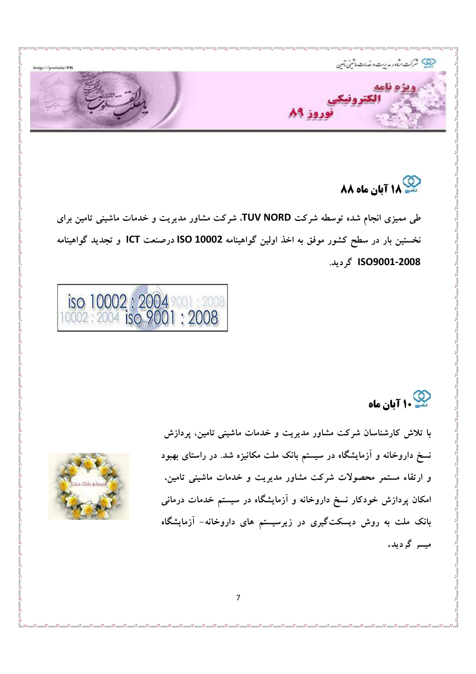

## 18 AA آبان ماه AA

طی ممیزی انجام شده توسطه شرکت TUV NORD. شرکت مشاور مدیریت و خدمات ماشینی تامین برای نخستین بار در سطح کشور موفق به اخذ اولین گواهینامه ISO 10002 درصنعت ICT و تجدید گواهینامه ISO9001-2008 گردند.



ی<br>۱۰ آبان ماه

با تلاش کارشناسان شرکت مشاور مدیریت و خدمات ماشینی تامین، پردازش نسخ داروخانه و آزمایشگاه در سیستم بانک ملت مکانیزه شد. در راستای بهبود و ارتقاء مستمر محصولات شرکت مشاور مدیریت و خدمات ماشینی تامین، امکان پردازش خودکار نسخ داروخانه و آزمایشگاه در سیستم خدمات درمانی بانک ملت به روش دیسکتگیری در زیرسیستم های داروخانه– آزمایشگاه میسر گردید.

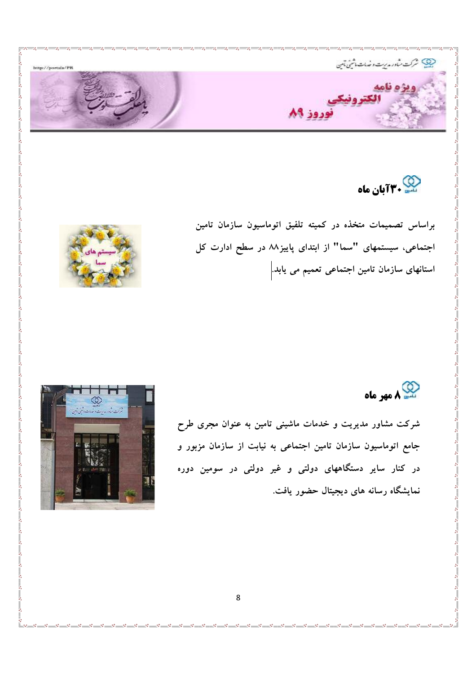

مبر<br>سطح **۳۰ آبان ماه** 

براساس تصمیمات متخذه در کمیته تلفیق اتوماسیون سازمان تامین اجتماعی، سیستمهای "سما" از ابتدای پاییز۸۸ در سطح ادارت کل استانهای سازمان تامین اجتماعی تعمیم می یابد.



دي<br>سيد ∧مهر ماه

شرکت مشاور مدیریت و خدمات ماشینی تامین به عنوان مجری طرح جامع اتوماسیون سازمان تامین اجتماعی به نیابت از سازمان مزبور و در کنار سایر دستگاههای دولت*ی* و غیر دولتی در سومین دوره نمایشگاه رسانه های دیجیتال حضور یافت.

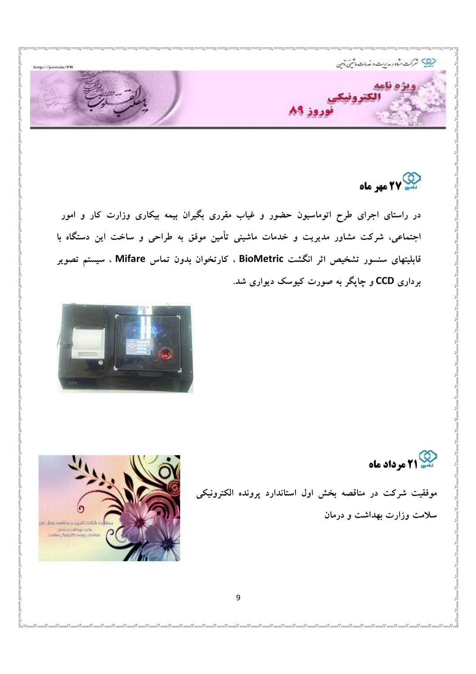

77 مهر ماه

در راستای اجرای طرح اتوماسیون حضور و غیاب مقرری بگیران بیمه بیکاری وزارت کار و امور اجتماعی، شرکت مشاور مدیریت و خدمات ماشینی تأمین موفق به طراحی و ساخت این دستگاه با قابلیتهای سنسور تشخیص اثر انگشت BioMetric ، کارتخوان بدون تماس Mifare ، سیستم تصویر برداری CCD و چاپگر به صورت کیوسک دیواری شد.



م<br>سیس 21 مرداد ماه

موفقیت شرکت در مناقصه بخش اول استاندارد پرونده الکترونیکی سلامت وزارت بهداشت و درمان